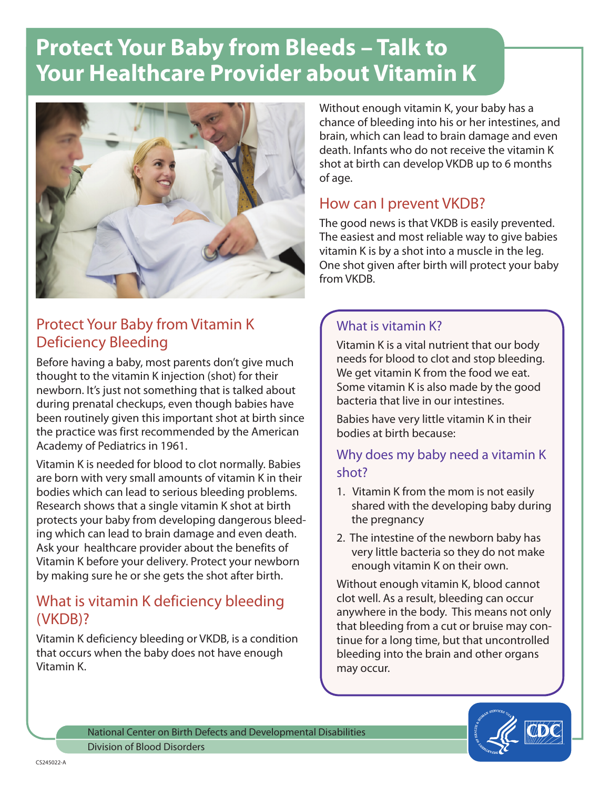# **Protect Your Baby from Bleeds – Talk to Your Healthcare Provider about Vitamin K**



# Protect Your Baby from Vitamin K Deficiency Bleeding

Before having a baby, most parents don't give much thought to the vitamin K injection (shot) for their newborn. It's just not something that is talked about during prenatal checkups, even though babies have been routinely given this important shot at birth since the practice was first recommended by the American Academy of Pediatrics in 1961.

Vitamin K is needed for blood to clot normally. Babies are born with very small amounts of vitamin K in their bodies which can lead to serious bleeding problems. Research shows that a single vitamin K shot at birth protects your baby from developing dangerous bleeding which can lead to brain damage and even death. Ask your healthcare provider about the benefits of Vitamin K before your delivery. Protect your newborn by making sure he or she gets the shot after birth.

## What is vitamin K deficiency bleeding (VKDB)?

Vitamin K deficiency bleeding or VKDB, is a condition that occurs when the baby does not have enough Vitamin K.

Without enough vitamin K, your baby has a chance of bleeding into his or her intestines, and brain, which can lead to brain damage and even death. Infants who do not receive the vitamin K shot at birth can develop VKDB up to 6 months of age.

## How can I prevent VKDB?

The good news is that VKDB is easily prevented. The easiest and most reliable way to give babies vitamin K is by a shot into a muscle in the leg. One shot given after birth will protect your baby from VKDB.

### What is vitamin K?

Vitamin K is a vital nutrient that our body needs for blood to clot and stop bleeding. We get vitamin K from the food we eat. Some vitamin K is also made by the good bacteria that live in our intestines.

Babies have very little vitamin K in their bodies at birth because:

### Why does my baby need a vitamin K shot?

- 1. Vitamin K from the mom is not easily shared with the developing baby during the pregnancy
- 2. The intestine of the newborn baby has very little bacteria so they do not make enough vitamin K on their own.

Without enough vitamin K, blood cannot clot well. As a result, bleeding can occur anywhere in the body. This means not only that bleeding from a cut or bruise may continue for a long time, but that uncontrolled bleeding into the brain and other organs may occur.